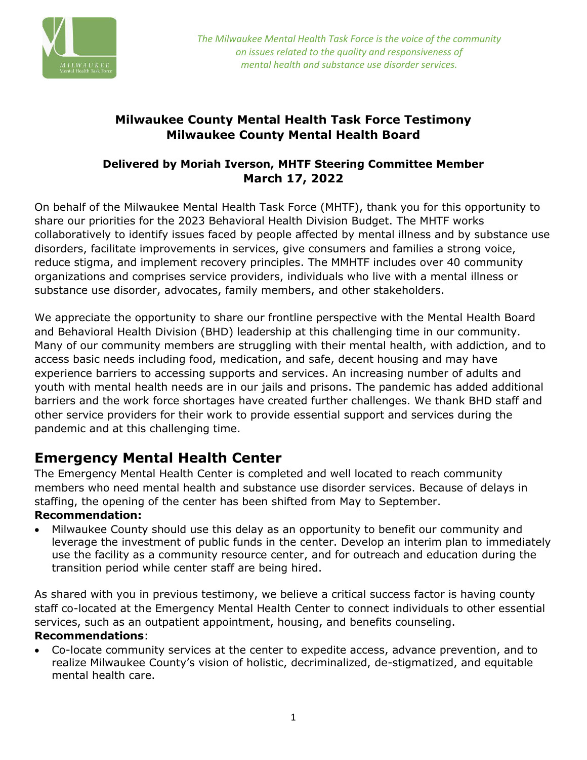

### **Milwaukee County Mental Health Task Force Testimony Milwaukee County Mental Health Board**

#### **Delivered by Moriah Iverson, MHTF Steering Committee Member March 17, 2022**

On behalf of the Milwaukee Mental Health Task Force (MHTF), thank you for this opportunity to share our priorities for the 2023 Behavioral Health Division Budget. The MHTF works collaboratively to identify issues faced by people affected by mental illness and by substance use disorders, facilitate improvements in services, give consumers and families a strong voice, reduce stigma, and implement recovery principles. The MMHTF includes over 40 community organizations and comprises service providers, individuals who live with a mental illness or substance use disorder, advocates, family members, and other stakeholders.

We appreciate the opportunity to share our frontline perspective with the Mental Health Board and Behavioral Health Division (BHD) leadership at this challenging time in our community. Many of our community members are struggling with their mental health, with addiction, and to access basic needs including food, medication, and safe, decent housing and may have experience barriers to accessing supports and services. An increasing number of adults and youth with mental health needs are in our jails and prisons. The pandemic has added additional barriers and the work force shortages have created further challenges. We thank BHD staff and other service providers for their work to provide essential support and services during the pandemic and at this challenging time.

# **Emergency Mental Health Center**

The Emergency Mental Health Center is completed and well located to reach community members who need mental health and substance use disorder services. Because of delays in staffing, the opening of the center has been shifted from May to September.

#### **Recommendation:**

• Milwaukee County should use this delay as an opportunity to benefit our community and leverage the investment of public funds in the center. Develop an interim plan to immediately use the facility as a community resource center, and for outreach and education during the transition period while center staff are being hired.

As shared with you in previous testimony, we believe a critical success factor is having county staff co-located at the Emergency Mental Health Center to connect individuals to other essential services, such as an outpatient appointment, housing, and benefits counseling. **Recommendations**:

• Co-locate community services at the center to expedite access, advance prevention, and to realize Milwaukee County's vision of holistic, decriminalized, de-stigmatized, and equitable mental health care.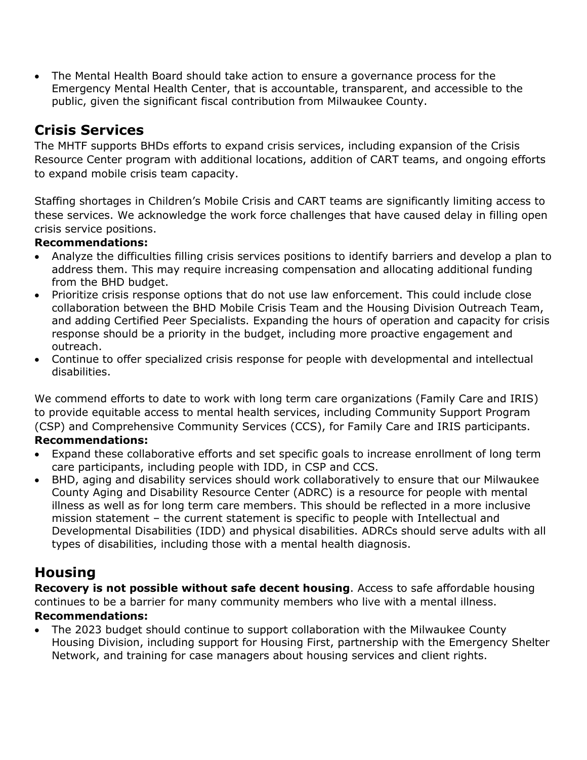• The Mental Health Board should take action to ensure a governance process for the Emergency Mental Health Center, that is accountable, transparent, and accessible to the public, given the significant fiscal contribution from Milwaukee County.

# **Crisis Services**

The MHTF supports BHDs efforts to expand crisis services, including expansion of the Crisis Resource Center program with additional locations, addition of CART teams, and ongoing efforts to expand mobile crisis team capacity.

Staffing shortages in Children's Mobile Crisis and CART teams are significantly limiting access to these services. We acknowledge the work force challenges that have caused delay in filling open crisis service positions.

#### **Recommendations:**

- Analyze the difficulties filling crisis services positions to identify barriers and develop a plan to address them. This may require increasing compensation and allocating additional funding from the BHD budget.
- Prioritize crisis response options that do not use law enforcement. This could include close collaboration between the BHD Mobile Crisis Team and the Housing Division Outreach Team, and adding Certified Peer Specialists. Expanding the hours of operation and capacity for crisis response should be a priority in the budget, including more proactive engagement and outreach.
- Continue to offer specialized crisis response for people with developmental and intellectual disabilities.

We commend efforts to date to work with long term care organizations (Family Care and IRIS) to provide equitable access to mental health services, including Community Support Program (CSP) and Comprehensive Community Services (CCS), for Family Care and IRIS participants.

#### **Recommendations:**

- Expand these collaborative efforts and set specific goals to increase enrollment of long term care participants, including people with IDD, in CSP and CCS.
- BHD, aging and disability services should work collaboratively to ensure that our Milwaukee County Aging and Disability Resource Center (ADRC) is a resource for people with mental illness as well as for long term care members. This should be reflected in a more inclusive mission statement – the current statement is specific to people with Intellectual and Developmental Disabilities (IDD) and physical disabilities. ADRCs should serve adults with all types of disabilities, including those with a mental health diagnosis.

# **Housing**

**Recovery is not possible without safe decent housing**. Access to safe affordable housing continues to be a barrier for many community members who live with a mental illness. **Recommendations:**

• The 2023 budget should continue to support collaboration with the Milwaukee County Housing Division, including support for Housing First, partnership with the Emergency Shelter Network, and training for case managers about housing services and client rights.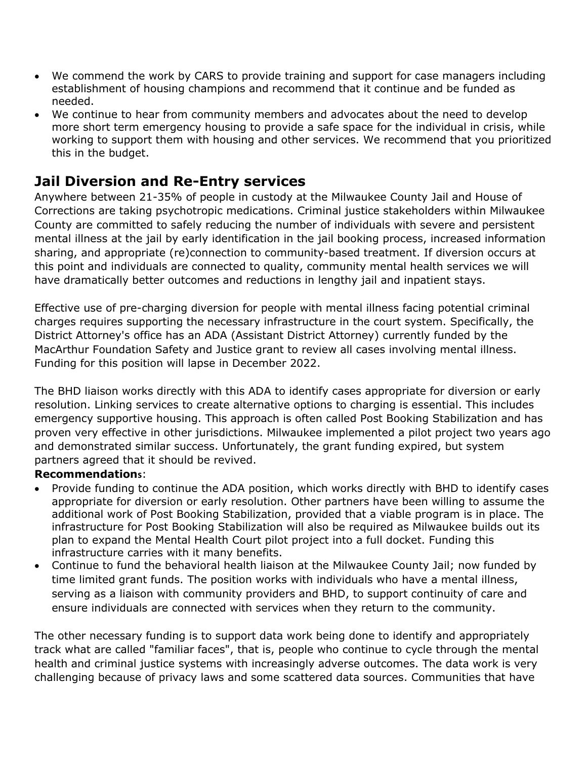- We commend the work by CARS to provide training and support for case managers including establishment of housing champions and recommend that it continue and be funded as needed.
- We continue to hear from community members and advocates about the need to develop more short term emergency housing to provide a safe space for the individual in crisis, while working to support them with housing and other services. We recommend that you prioritized this in the budget.

## **Jail Diversion and Re-Entry services**

Anywhere between 21-35% of people in custody at the Milwaukee County Jail and House of Corrections are taking psychotropic medications. Criminal justice stakeholders within Milwaukee County are committed to safely reducing the number of individuals with severe and persistent mental illness at the jail by early identification in the jail booking process, increased information sharing, and appropriate (re)connection to community-based treatment. If diversion occurs at this point and individuals are connected to quality, community mental health services we will have dramatically better outcomes and reductions in lengthy jail and inpatient stays.

Effective use of pre-charging diversion for people with mental illness facing potential criminal charges requires supporting the necessary infrastructure in the court system. Specifically, the District Attorney's office has an ADA (Assistant District Attorney) currently funded by the MacArthur Foundation Safety and Justice grant to review all cases involving mental illness. Funding for this position will lapse in December 2022.

The BHD liaison works directly with this ADA to identify cases appropriate for diversion or early resolution. Linking services to create alternative options to charging is essential. This includes emergency supportive housing. This approach is often called Post Booking Stabilization and has proven very effective in other jurisdictions. Milwaukee implemented a pilot project two years ago and demonstrated similar success. Unfortunately, the grant funding expired, but system partners agreed that it should be revived.

#### **Recommendations**:

- Provide funding to continue the ADA position, which works directly with BHD to identify cases appropriate for diversion or early resolution. Other partners have been willing to assume the additional work of Post Booking Stabilization, provided that a viable program is in place. The infrastructure for Post Booking Stabilization will also be required as Milwaukee builds out its plan to expand the Mental Health Court pilot project into a full docket. Funding this infrastructure carries with it many benefits.
- Continue to fund the behavioral health liaison at the Milwaukee County Jail; now funded by time limited grant funds. The position works with individuals who have a mental illness, serving as a liaison with community providers and BHD, to support continuity of care and ensure individuals are connected with services when they return to the community.

The other necessary funding is to support data work being done to identify and appropriately track what are called "familiar faces", that is, people who continue to cycle through the mental health and criminal justice systems with increasingly adverse outcomes. The data work is very challenging because of privacy laws and some scattered data sources. Communities that have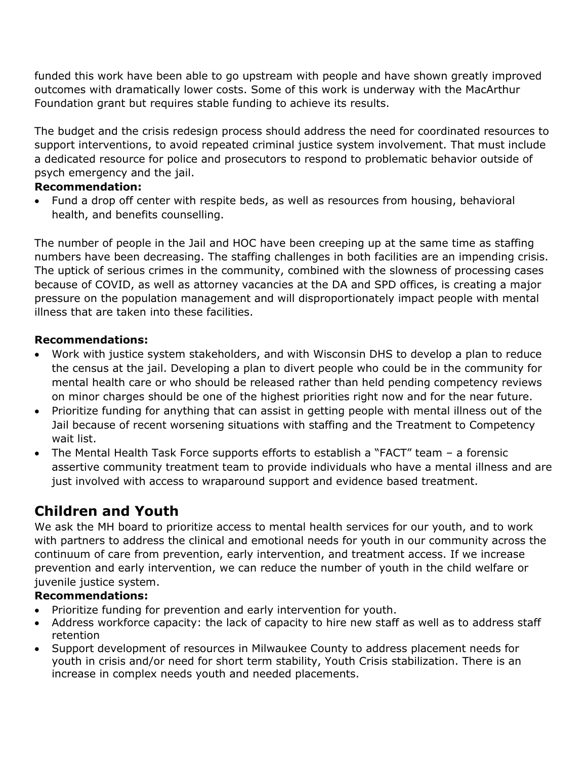funded this work have been able to go upstream with people and have shown greatly improved outcomes with dramatically lower costs. Some of this work is underway with the MacArthur Foundation grant but requires stable funding to achieve its results.

The budget and the crisis redesign process should address the need for coordinated resources to support interventions, to avoid repeated criminal justice system involvement. That must include a dedicated resource for police and prosecutors to respond to problematic behavior outside of psych emergency and the jail.

#### **Recommendation:**

• Fund a drop off center with respite beds, as well as resources from housing, behavioral health, and benefits counselling.

The number of people in the Jail and HOC have been creeping up at the same time as staffing numbers have been decreasing. The staffing challenges in both facilities are an impending crisis. The uptick of serious crimes in the community, combined with the slowness of processing cases because of COVID, as well as attorney vacancies at the DA and SPD offices, is creating a major pressure on the population management and will disproportionately impact people with mental illness that are taken into these facilities.

#### **Recommendations:**

- Work with justice system stakeholders, and with Wisconsin DHS to develop a plan to reduce the census at the jail. Developing a plan to divert people who could be in the community for mental health care or who should be released rather than held pending competency reviews on minor charges should be one of the highest priorities right now and for the near future.
- Prioritize funding for anything that can assist in getting people with mental illness out of the Jail because of recent worsening situations with staffing and the Treatment to Competency wait list.
- The Mental Health Task Force supports efforts to establish a "FACT" team a forensic assertive community treatment team to provide individuals who have a mental illness and are just involved with access to wraparound support and evidence based treatment.

# **Children and Youth**

We ask the MH board to prioritize access to mental health services for our youth, and to work with partners to address the clinical and emotional needs for youth in our community across the continuum of care from prevention, early intervention, and treatment access. If we increase prevention and early intervention, we can reduce the number of youth in the child welfare or juvenile justice system.

## **Recommendations:**

- Prioritize funding for prevention and early intervention for youth.
- Address workforce capacity: the lack of capacity to hire new staff as well as to address staff retention
- Support development of resources in Milwaukee County to address placement needs for youth in crisis and/or need for short term stability, Youth Crisis stabilization. There is an increase in complex needs youth and needed placements.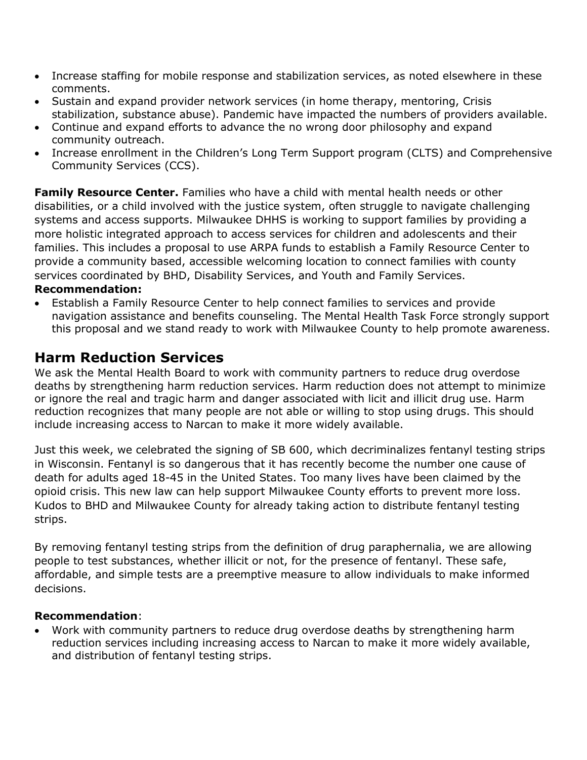- Increase staffing for mobile response and stabilization services, as noted elsewhere in these comments.
- Sustain and expand provider network services (in home therapy, mentoring, Crisis stabilization, substance abuse). Pandemic have impacted the numbers of providers available.
- Continue and expand efforts to advance the no wrong door philosophy and expand community outreach.
- Increase enrollment in the Children's Long Term Support program (CLTS) and Comprehensive Community Services (CCS).

**Family Resource Center.** Families who have a child with mental health needs or other disabilities, or a child involved with the justice system, often struggle to navigate challenging systems and access supports. Milwaukee DHHS is working to support families by providing a more holistic integrated approach to access services for children and adolescents and their families. This includes a proposal to use ARPA funds to establish a Family Resource Center to provide a community based, accessible welcoming location to connect families with county services coordinated by BHD, Disability Services, and Youth and Family Services.

#### **Recommendation:**

• Establish a Family Resource Center to help connect families to services and provide navigation assistance and benefits counseling. The Mental Health Task Force strongly support this proposal and we stand ready to work with Milwaukee County to help promote awareness.

# **Harm Reduction Services**

We ask the Mental Health Board to work with community partners to reduce drug overdose deaths by strengthening harm reduction services. Harm reduction does not attempt to minimize or ignore the real and tragic harm and danger associated with licit and illicit drug use. Harm reduction recognizes that many people are not able or willing to stop using drugs. This should include increasing access to Narcan to make it more widely available.

Just this week, we celebrated the signing of SB 600, which decriminalizes fentanyl testing strips in Wisconsin. Fentanyl is so dangerous that it has recently become the number one cause of death for adults aged 18-45 in the United States. Too many lives have been claimed by the opioid crisis. This new law can help support Milwaukee County efforts to prevent more loss. Kudos to BHD and Milwaukee County for already taking action to distribute fentanyl testing strips.

By removing fentanyl testing strips from the definition of drug paraphernalia, we are allowing people to test substances, whether illicit or not, for the presence of fentanyl. These safe, affordable, and simple tests are a preemptive measure to allow individuals to make informed decisions.

#### **Recommendation**:

• Work with community partners to reduce drug overdose deaths by strengthening harm reduction services including increasing access to Narcan to make it more widely available, and distribution of fentanyl testing strips.